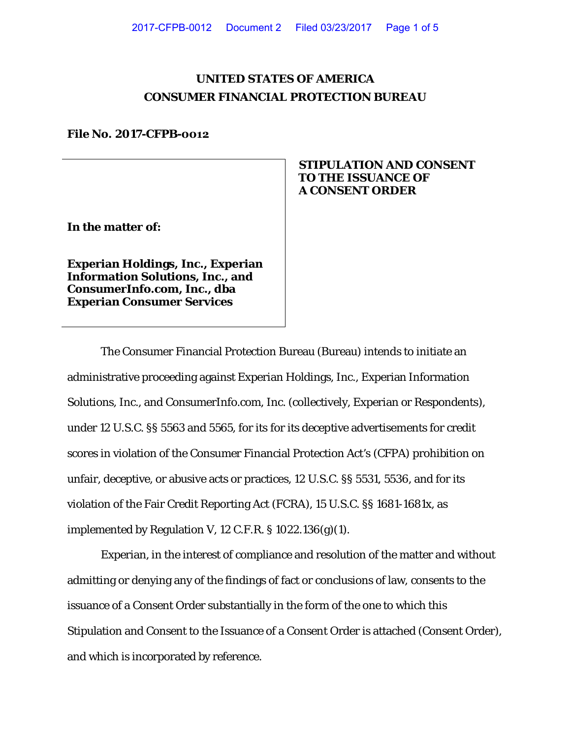# **UNITED STATES OF AMERICA CONSUMER FINANCIAL PROTECTION BUREAU**

### **File No. 2017-CFPB-0012**

# **STIPULATION AND CONSENT TO THE ISSUANCE OF A CONSENT ORDER**

**In the matter of:**

**Experian Holdings, Inc., Experian Information Solutions, Inc., and ConsumerInfo.com, Inc., dba Experian Consumer Services** 

The Consumer Financial Protection Bureau (Bureau) intends to initiate an administrative proceeding against Experian Holdings, Inc., Experian Information Solutions, Inc., and ConsumerInfo.com, Inc. (collectively, Experian or Respondents), under 12 U.S.C. §§ 5563 and 5565, for its for its deceptive advertisements for credit scores in violation of the Consumer Financial Protection Act's (CFPA) prohibition on unfair, deceptive, or abusive acts or practices, 12 U.S.C. §§ 5531, 5536, and for its violation of the Fair Credit Reporting Act (FCRA), 15 U.S.C. §§ 1681-1681x, as implemented by Regulation V, 12 C.F.R.  $\S$  1022.136(g)(1).

Experian, in the interest of compliance and resolution of the matter and without admitting or denying any of the findings of fact or conclusions of law, consents to the issuance of a Consent Order substantially in the form of the one to which this Stipulation and Consent to the Issuance of a Consent Order is attached (Consent Order), and which is incorporated by reference.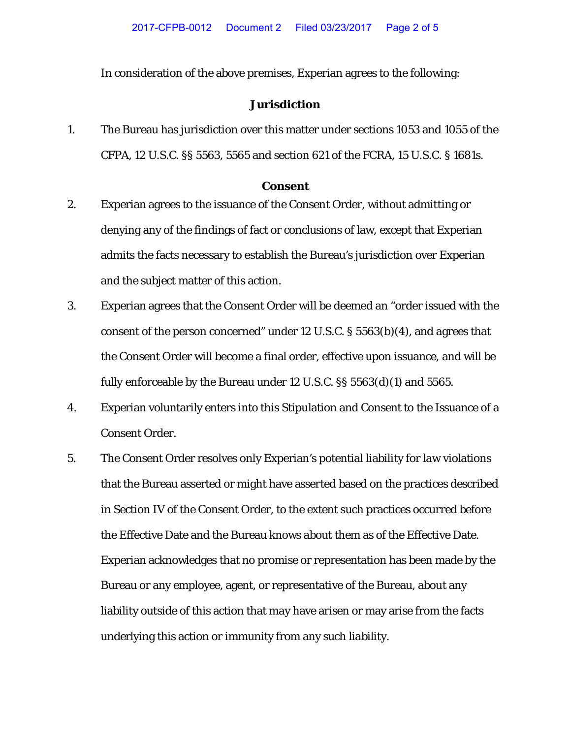In consideration of the above premises, Experian agrees to the following:

## **Jurisdiction**

1. The Bureau has jurisdiction over this matter under sections 1053 and 1055 of the CFPA, 12 U.S.C. §§ 5563, 5565 and section 621 of the FCRA, 15 U.S.C. § 1681s.

#### **Consent**

- 2. Experian agrees to the issuance of the Consent Order, without admitting or denying any of the findings of fact or conclusions of law, except that Experian admits the facts necessary to establish the Bureau's jurisdiction over Experian and the subject matter of this action.
- 3. Experian agrees that the Consent Order will be deemed an "order issued with the consent of the person concerned" under 12 U.S.C. § 5563(b)(4), and agrees that the Consent Order will become a final order, effective upon issuance, and will be fully enforceable by the Bureau under 12 U.S.C. §§ 5563(d)(1) and 5565.
- 4. Experian voluntarily enters into this Stipulation and Consent to the Issuance of a Consent Order.
- 5. The Consent Order resolves only Experian's potential liability for law violations that the Bureau asserted or might have asserted based on the practices described in Section IV of the Consent Order, to the extent such practices occurred before the Effective Date and the Bureau knows about them as of the Effective Date. Experian acknowledges that no promise or representation has been made by the Bureau or any employee, agent, or representative of the Bureau, about any liability outside of this action that may have arisen or may arise from the facts underlying this action or immunity from any such liability.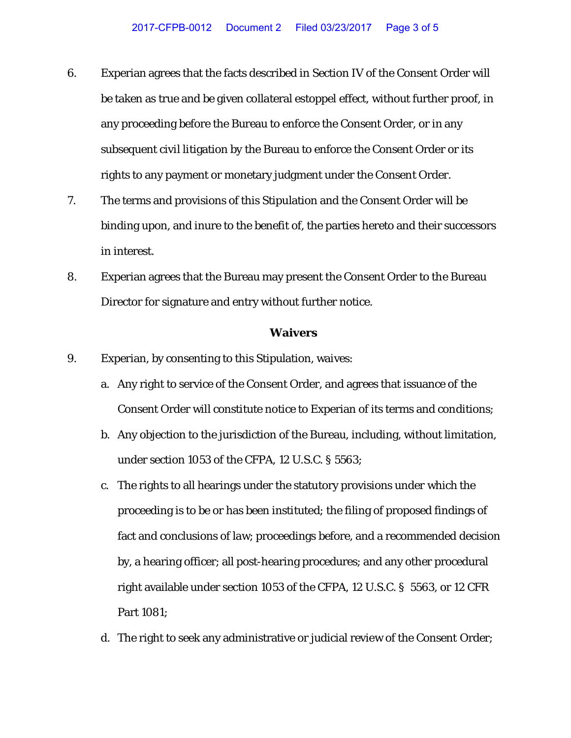- 6. Experian agrees that the facts described in Section IV of the Consent Order will be taken as true and be given collateral estoppel effect, without further proof, in any proceeding before the Bureau to enforce the Consent Order, or in any subsequent civil litigation by the Bureau to enforce the Consent Order or its rights to any payment or monetary judgment under the Consent Order.
- 7. The terms and provisions of this Stipulation and the Consent Order will be binding upon, and inure to the benefit of, the parties hereto and their successors in interest.
- 8. Experian agrees that the Bureau may present the Consent Order to the Bureau Director for signature and entry without further notice.

#### **Waivers**

- 9. Experian, by consenting to this Stipulation, waives:
	- a. Any right to service of the Consent Order, and agrees that issuance of the Consent Order will constitute notice to Experian of its terms and conditions;
	- b. Any objection to the jurisdiction of the Bureau, including, without limitation, under section 1053 of the CFPA, 12 U.S.C. § 5563;
	- c. The rights to all hearings under the statutory provisions under which the proceeding is to be or has been instituted; the filing of proposed findings of fact and conclusions of law; proceedings before, and a recommended decision by, a hearing officer; all post-hearing procedures; and any other procedural right available under section 1053 of the CFPA, 12 U.S.C. § 5563, or 12 CFR Part 1081;
	- d. The right to seek any administrative or judicial review of the Consent Order;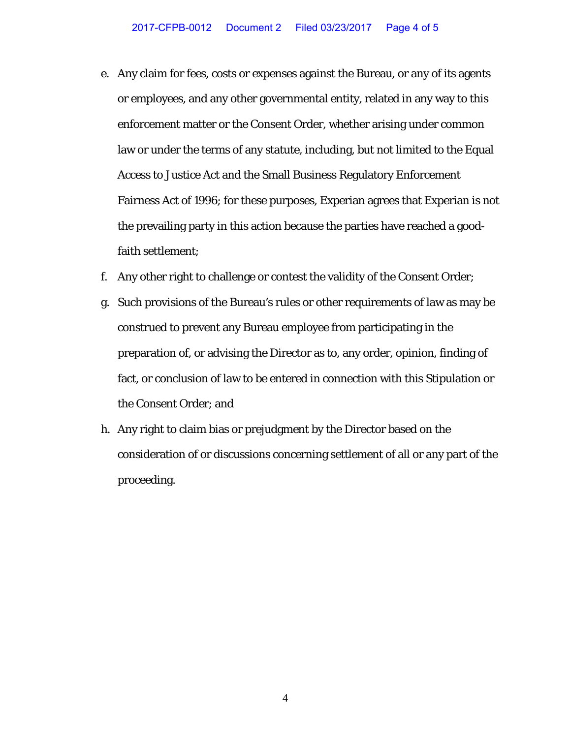- e. Any claim for fees, costs or expenses against the Bureau, or any of its agents or employees, and any other governmental entity, related in any way to this enforcement matter or the Consent Order, whether arising under common law or under the terms of any statute, including, but not limited to the Equal Access to Justice Act and the Small Business Regulatory Enforcement Fairness Act of 1996; for these purposes, Experian agrees that Experian is not the prevailing party in this action because the parties have reached a goodfaith settlement;
- f. Any other right to challenge or contest the validity of the Consent Order;
- g. Such provisions of the Bureau's rules or other requirements of law as may be construed to prevent any Bureau employee from participating in the preparation of, or advising the Director as to, any order, opinion, finding of fact, or conclusion of law to be entered in connection with this Stipulation or the Consent Order; and
- h. Any right to claim bias or prejudgment by the Director based on the consideration of or discussions concerning settlement of all or any part of the proceeding.

4